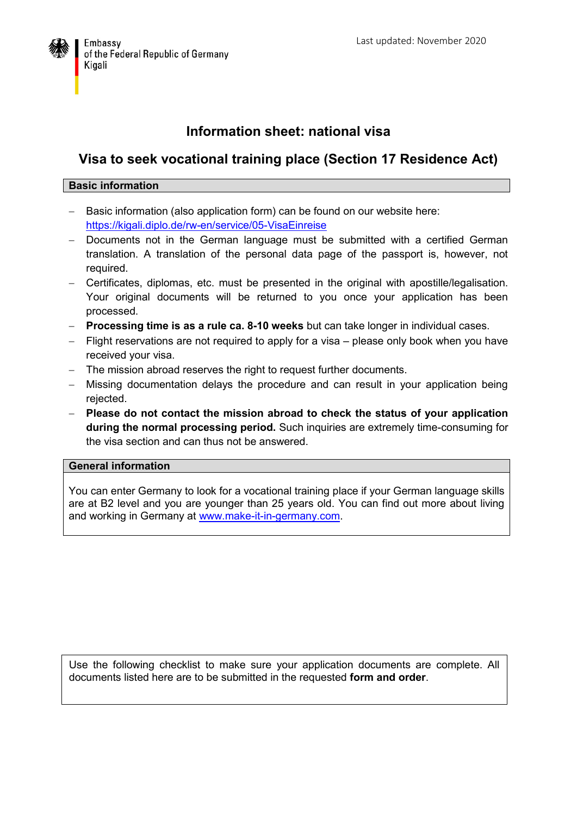

## **Information sheet: national visa**

## **Visa to seek vocational training place (Section 17 Residence Act)**

## **Basic information**

- Basic information (also application form) can be found on our website here: <https://kigali.diplo.de/rw-en/service/05-VisaEinreise>
- Documents not in the German language must be submitted with a certified German translation. A translation of the personal data page of the passport is, however, not required.
- Certificates, diplomas, etc. must be presented in the original with apostille/legalisation. Your original documents will be returned to you once your application has been processed.
- **Processing time is as a rule ca. 8-10 weeks** but can take longer in individual cases.
- Flight reservations are not required to apply for a visa please only book when you have received your visa.
- The mission abroad reserves the right to request further documents.
- Missing documentation delays the procedure and can result in your application being rejected.
- **Please do not contact the mission abroad to check the status of your application during the normal processing period.** Such inquiries are extremely time-consuming for the visa section and can thus not be answered.

## **General information**

You can enter Germany to look for a vocational training place if your German language skills are at B2 level and you are younger than 25 years old. You can find out more about living and working in Germany at [www.make-it-in-germany.com](http://www.make-it-in-germany.com./).

Use the following checklist to make sure your application documents are complete. All documents listed here are to be submitted in the requested **form and order**.